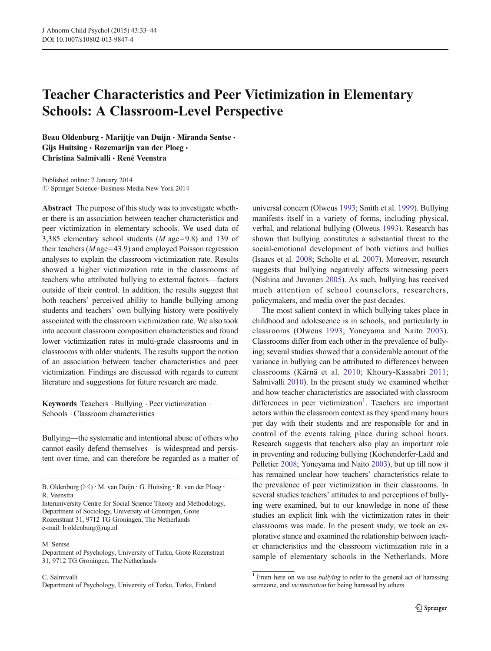# Teacher Characteristics and Peer Victimization in Elementary Schools: A Classroom-Level Perspective

Beau Oldenburg · Marijtje van Duijn · Miranda Sentse · Gijs Huitsing · Rozemarijn van der Ploeg · Christina Salmivalli & René Veenstra

Published online: 7 January 2014  $\circled{c}$  Springer Science+Business Media New York 2014

Abstract The purpose of this study was to investigate whether there is an association between teacher characteristics and peer victimization in elementary schools. We used data of 3,385 elementary school students (M age=9.8) and 139 of their teachers ( $M$  age=43.9) and employed Poisson regression analyses to explain the classroom victimization rate. Results showed a higher victimization rate in the classrooms of teachers who attributed bullying to external factors—factors outside of their control. In addition, the results suggest that both teachers' perceived ability to handle bullying among students and teachers' own bullying history were positively associated with the classroom victimization rate. We also took into account classroom composition characteristics and found lower victimization rates in multi-grade classrooms and in classrooms with older students. The results support the notion of an association between teacher characteristics and peer victimization. Findings are discussed with regards to current literature and suggestions for future research are made.

Keywords Teachers . Bullying . Peer victimization . Schools . Classroom characteristics

Bullying—the systematic and intentional abuse of others who cannot easily defend themselves—is widespread and persistent over time, and can therefore be regarded as a matter of

## M. Sentse

Department of Psychology, University of Turku, Grote Rozenstraat 31, 9712 TG Groningen, The Netherlands

C. Salmivalli Department of Psychology, University of Turku, Turku, Finland

universal concern (Olweus [1993](#page-11-0); Smith et al. [1999](#page-11-0)). Bullying manifests itself in a variety of forms, including physical, verbal, and relational bullying (Olweus [1993\)](#page-11-0). Research has shown that bullying constitutes a substantial threat to the social-emotional development of both victims and bullies (Isaacs et al. [2008;](#page-11-0) Scholte et al. [2007\)](#page-11-0). Moreover, research suggests that bullying negatively affects witnessing peers (Nishina and Juvonen [2005\)](#page-11-0). As such, bullying has received much attention of school counselors, researchers, policymakers, and media over the past decades.

The most salient context in which bullying takes place in childhood and adolescence is in schools, and particularly in classrooms (Olweus [1993;](#page-11-0) Yoneyama and Naito [2003](#page-11-0)). Classrooms differ from each other in the prevalence of bullying; several studies showed that a considerable amount of the variance in bullying can be attributed to differences between classrooms (Kärnä et al. [2010;](#page-11-0) Khoury-Kassabri [2011;](#page-11-0) Salmivalli [2010](#page-11-0)). In the present study we examined whether and how teacher characteristics are associated with classroom differences in peer victimization<sup>1</sup>. Teachers are important actors within the classroom context as they spend many hours per day with their students and are responsible for and in control of the events taking place during school hours. Research suggests that teachers also play an important role in preventing and reducing bullying (Kochenderfer-Ladd and Pelletier [2008](#page-11-0); Yoneyama and Naito [2003](#page-11-0)), but up till now it has remained unclear how teachers' characteristics relate to the prevalence of peer victimization in their classrooms. In several studies teachers' attitudes to and perceptions of bullying were examined, but to our knowledge in none of these studies an explicit link with the victimization rates in their classrooms was made. In the present study, we took an explorative stance and examined the relationship between teacher characteristics and the classroom victimization rate in a sample of elementary schools in the Netherlands. More

B. Oldenburg ( $\boxtimes$ ) · M. van Duijn · G. Huitsing · R. van der Ploeg · R. Veenstra

Interuniversity Centre for Social Science Theory and Methodology, Department of Sociology, University of Groningen, Grote Rozenstraat 31, 9712 TG Groningen, The Netherlands e-mail: b.oldenburg@rug.nl

 $\frac{1}{1}$  From here on we use *bullying* to refer to the general act of harassing someone, and victimization for being harassed by others.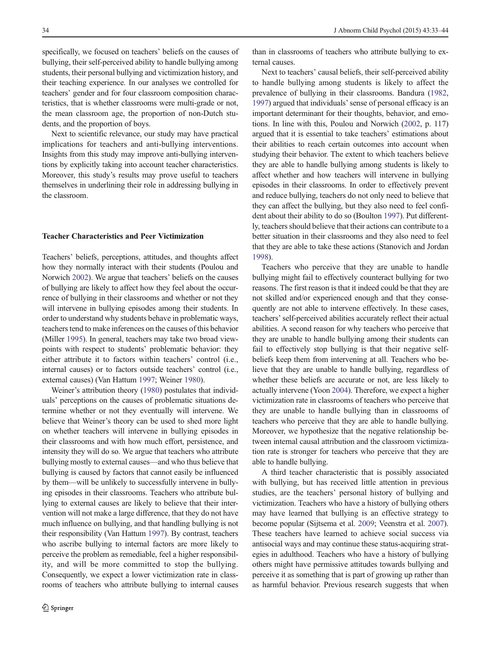specifically, we focused on teachers' beliefs on the causes of bullying, their self-perceived ability to handle bullying among students, their personal bullying and victimization history, and their teaching experience. In our analyses we controlled for teachers' gender and for four classroom composition characteristics, that is whether classrooms were multi-grade or not, the mean classroom age, the proportion of non-Dutch students, and the proportion of boys.

Next to scientific relevance, our study may have practical implications for teachers and anti-bullying interventions. Insights from this study may improve anti-bullying interventions by explicitly taking into account teacher characteristics. Moreover, this study's results may prove useful to teachers themselves in underlining their role in addressing bullying in the classroom.

## Teacher Characteristics and Peer Victimization

Teachers' beliefs, perceptions, attitudes, and thoughts affect how they normally interact with their students (Poulou and Norwich [2002](#page-11-0)). We argue that teachers' beliefs on the causes of bullying are likely to affect how they feel about the occurrence of bullying in their classrooms and whether or not they will intervene in bullying episodes among their students. In order to understand why students behave in problematic ways, teachers tend to make inferences on the causes of this behavior (Miller [1995](#page-11-0)). In general, teachers may take two broad viewpoints with respect to students' problematic behavior: they either attribute it to factors within teachers' control (i.e., internal causes) or to factors outside teachers' control (i.e., external causes) (Van Hattum [1997;](#page-11-0) Weiner [1980](#page-11-0)).

Weiner's attribution theory ([1980](#page-11-0)) postulates that individuals' perceptions on the causes of problematic situations determine whether or not they eventually will intervene. We believe that Weiner's theory can be used to shed more light on whether teachers will intervene in bullying episodes in their classrooms and with how much effort, persistence, and intensity they will do so. We argue that teachers who attribute bullying mostly to external causes—and who thus believe that bullying is caused by factors that cannot easily be influenced by them—will be unlikely to successfully intervene in bullying episodes in their classrooms. Teachers who attribute bullying to external causes are likely to believe that their intervention will not make a large difference, that they do not have much influence on bullying, and that handling bullying is not their responsibility (Van Hattum [1997](#page-11-0)). By contrast, teachers who ascribe bullying to internal factors are more likely to perceive the problem as remediable, feel a higher responsibility, and will be more committed to stop the bullying. Consequently, we expect a lower victimization rate in classrooms of teachers who attribute bullying to internal causes

than in classrooms of teachers who attribute bullying to external causes.

Next to teachers' causal beliefs, their self-perceived ability to handle bullying among students is likely to affect the prevalence of bullying in their classrooms. Bandura [\(1982,](#page-10-0) [1997\)](#page-10-0) argued that individuals'sense of personal efficacy is an important determinant for their thoughts, behavior, and emotions. In line with this, Poulou and Norwich [\(2002,](#page-11-0) p. 117) argued that it is essential to take teachers' estimations about their abilities to reach certain outcomes into account when studying their behavior. The extent to which teachers believe they are able to handle bullying among students is likely to affect whether and how teachers will intervene in bullying episodes in their classrooms. In order to effectively prevent and reduce bullying, teachers do not only need to believe that they can affect the bullying, but they also need to feel confident about their ability to do so (Boulton [1997](#page-10-0)). Put differently, teachers should believe that their actions can contribute to a better situation in their classrooms and they also need to feel that they are able to take these actions (Stanovich and Jordan [1998\)](#page-11-0).

Teachers who perceive that they are unable to handle bullying might fail to effectively counteract bullying for two reasons. The first reason is that it indeed could be that they are not skilled and/or experienced enough and that they consequently are not able to intervene effectively. In these cases, teachers' self-perceived abilities accurately reflect their actual abilities. A second reason for why teachers who perceive that they are unable to handle bullying among their students can fail to effectively stop bullying is that their negative selfbeliefs keep them from intervening at all. Teachers who believe that they are unable to handle bullying, regardless of whether these beliefs are accurate or not, are less likely to actually intervene (Yoon [2004](#page-11-0)). Therefore, we expect a higher victimization rate in classrooms of teachers who perceive that they are unable to handle bullying than in classrooms of teachers who perceive that they are able to handle bullying. Moreover, we hypothesize that the negative relationship between internal causal attribution and the classroom victimization rate is stronger for teachers who perceive that they are able to handle bullying.

A third teacher characteristic that is possibly associated with bullying, but has received little attention in previous studies, are the teachers' personal history of bullying and victimization. Teachers who have a history of bullying others may have learned that bullying is an effective strategy to become popular (Sijtsema et al. [2009](#page-11-0); Veenstra et al. [2007\)](#page-11-0). These teachers have learned to achieve social success via antisocial ways and may continue these status-acquiring strategies in adulthood. Teachers who have a history of bullying others might have permissive attitudes towards bullying and perceive it as something that is part of growing up rather than as harmful behavior. Previous research suggests that when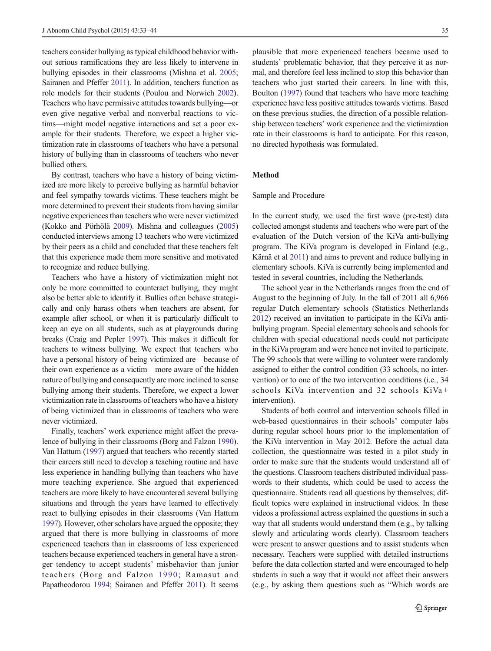teachers consider bullying as typical childhood behavior without serious ramifications they are less likely to intervene in bullying episodes in their classrooms (Mishna et al. [2005](#page-11-0); Sairanen and Pfeffer [2011\)](#page-11-0). In addition, teachers function as role models for their students (Poulou and Norwich [2002\)](#page-11-0). Teachers who have permissive attitudes towards bullying—or even give negative verbal and nonverbal reactions to victims—might model negative interactions and set a poor example for their students. Therefore, we expect a higher victimization rate in classrooms of teachers who have a personal history of bullying than in classrooms of teachers who never bullied others.

By contrast, teachers who have a history of being victimized are more likely to perceive bullying as harmful behavior and feel sympathy towards victims. These teachers might be more determined to prevent their students from having similar negative experiences than teachers who were never victimized (Kokko and Pörhölä [2009](#page-11-0)). Mishna and colleagues [\(2005\)](#page-11-0) conducted interviews among 13 teachers who were victimized by their peers as a child and concluded that these teachers felt that this experience made them more sensitive and motivated to recognize and reduce bullying.

Teachers who have a history of victimization might not only be more committed to counteract bullying, they might also be better able to identify it. Bullies often behave strategically and only harass others when teachers are absent, for example after school, or when it is particularly difficult to keep an eye on all students, such as at playgrounds during breaks (Craig and Pepler [1997\)](#page-10-0). This makes it difficult for teachers to witness bullying. We expect that teachers who have a personal history of being victimized are—because of their own experience as a victim—more aware of the hidden nature of bullying and consequently are more inclined to sense bullying among their students. Therefore, we expect a lower victimization rate in classrooms of teachers who have a history of being victimized than in classrooms of teachers who were never victimized.

Finally, teachers' work experience might affect the prevalence of bullying in their classrooms (Borg and Falzon [1990\)](#page-10-0). Van Hattum [\(1997\)](#page-11-0) argued that teachers who recently started their careers still need to develop a teaching routine and have less experience in handling bullying than teachers who have more teaching experience. She argued that experienced teachers are more likely to have encountered several bullying situations and through the years have learned to effectively react to bullying episodes in their classrooms (Van Hattum [1997\)](#page-11-0). However, other scholars have argued the opposite; they argued that there is more bullying in classrooms of more experienced teachers than in classrooms of less experienced teachers because experienced teachers in general have a stronger tendency to accept students' misbehavior than junior teachers (Borg and Falzon [1990](#page-10-0); Ramasut and Papatheodorou [1994;](#page-11-0) Sairanen and Pfeffer [2011\)](#page-11-0). It seems plausible that more experienced teachers became used to students' problematic behavior, that they perceive it as normal, and therefore feel less inclined to stop this behavior than teachers who just started their careers. In line with this, Boulton ([1997](#page-10-0)) found that teachers who have more teaching experience have less positive attitudes towards victims. Based on these previous studies, the direction of a possible relationship between teachers' work experience and the victimization rate in their classrooms is hard to anticipate. For this reason, no directed hypothesis was formulated.

# Method

#### Sample and Procedure

In the current study, we used the first wave (pre-test) data collected amongst students and teachers who were part of the evaluation of the Dutch version of the KiVa anti-bullying program. The KiVa program is developed in Finland (e.g., Kärnä et al [2011\)](#page-11-0) and aims to prevent and reduce bullying in elementary schools. KiVa is currently being implemented and tested in several countries, including the Netherlands.

The school year in the Netherlands ranges from the end of August to the beginning of July. In the fall of 2011 all 6,966 regular Dutch elementary schools (Statistics Netherlands [2012\)](#page-11-0) received an invitation to participate in the KiVa antibullying program. Special elementary schools and schools for children with special educational needs could not participate in the KiVa program and were hence not invited to participate. The 99 schools that were willing to volunteer were randomly assigned to either the control condition (33 schools, no intervention) or to one of the two intervention conditions (i.e., 34 schools KiVa intervention and 32 schools KiVa+ intervention).

Students of both control and intervention schools filled in web-based questionnaires in their schools' computer labs during regular school hours prior to the implementation of the KiVa intervention in May 2012. Before the actual data collection, the questionnaire was tested in a pilot study in order to make sure that the students would understand all of the questions. Classroom teachers distributed individual passwords to their students, which could be used to access the questionnaire. Students read all questions by themselves; difficult topics were explained in instructional videos. In these videos a professional actress explained the questions in such a way that all students would understand them (e.g., by talking slowly and articulating words clearly). Classroom teachers were present to answer questions and to assist students when necessary. Teachers were supplied with detailed instructions before the data collection started and were encouraged to help students in such a way that it would not affect their answers (e.g., by asking them questions such as "Which words are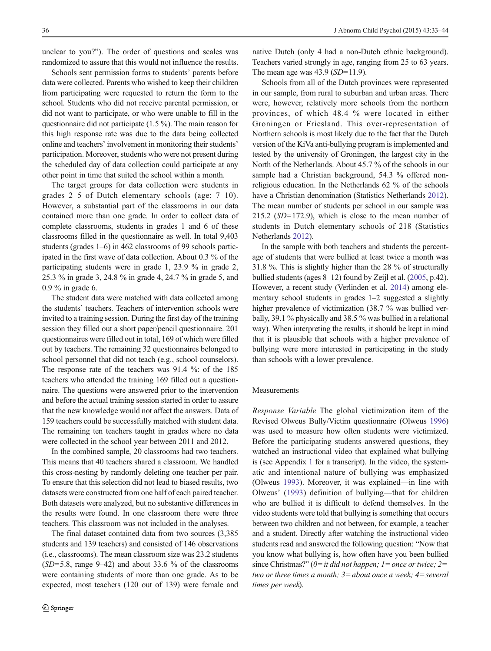unclear to you?"). The order of questions and scales was randomized to assure that this would not influence the results.

Schools sent permission forms to students' parents before data were collected. Parents who wished to keep their children from participating were requested to return the form to the school. Students who did not receive parental permission, or did not want to participate, or who were unable to fill in the questionnaire did not participate (1.5 %). The main reason for this high response rate was due to the data being collected online and teachers' involvement in monitoring their students' participation. Moreover, students who were not present during the scheduled day of data collection could participate at any other point in time that suited the school within a month.

The target groups for data collection were students in grades 2–5 of Dutch elementary schools (age: 7–10). However, a substantial part of the classrooms in our data contained more than one grade. In order to collect data of complete classrooms, students in grades 1 and 6 of these classrooms filled in the questionnaire as well. In total 9,403 students (grades 1–6) in 462 classrooms of 99 schools participated in the first wave of data collection. About 0.3 % of the participating students were in grade 1, 23.9 % in grade 2, 25.3 % in grade 3, 24.8 % in grade 4, 24.7 % in grade 5, and 0.9 % in grade 6.

The student data were matched with data collected among the students' teachers. Teachers of intervention schools were invited to a training session. During the first day of the training session they filled out a short paper/pencil questionnaire. 201 questionnaires were filled out in total, 169 of which were filled out by teachers. The remaining 32 questionnaires belonged to school personnel that did not teach (e.g., school counselors). The response rate of the teachers was 91.4 %: of the 185 teachers who attended the training 169 filled out a questionnaire. The questions were answered prior to the intervention and before the actual training session started in order to assure that the new knowledge would not affect the answers. Data of 159 teachers could be successfully matched with student data. The remaining ten teachers taught in grades where no data were collected in the school year between 2011 and 2012.

In the combined sample, 20 classrooms had two teachers. This means that 40 teachers shared a classroom. We handled this cross-nesting by randomly deleting one teacher per pair. To ensure that this selection did not lead to biased results, two datasets were constructed from one half of each paired teacher. Both datasets were analyzed, but no substantive differences in the results were found. In one classroom there were three teachers. This classroom was not included in the analyses.

The final dataset contained data from two sources (3,385 students and 139 teachers) and consisted of 146 observations (i.e., classrooms). The mean classroom size was 23.2 students  $(SD=5.8, \text{range } 9-42)$  and about 33.6 % of the classrooms were containing students of more than one grade. As to be expected, most teachers (120 out of 139) were female and native Dutch (only 4 had a non-Dutch ethnic background). Teachers varied strongly in age, ranging from 25 to 63 years. The mean age was  $43.9$  (SD=11.9).

Schools from all of the Dutch provinces were represented in our sample, from rural to suburban and urban areas. There were, however, relatively more schools from the northern provinces, of which 48.4 % were located in either Groningen or Friesland. This over-representation of Northern schools is most likely due to the fact that the Dutch version of the KiVa anti-bullying program is implemented and tested by the university of Groningen, the largest city in the North of the Netherlands. About 45.7 % of the schools in our sample had a Christian background, 54.3 % offered nonreligious education. In the Netherlands 62 % of the schools have a Christian denomination (Statistics Netherlands [2012\)](#page-11-0). The mean number of students per school in our sample was 215.2 (SD=172.9), which is close to the mean number of students in Dutch elementary schools of 218 (Statistics Netherlands [2012](#page-11-0)).

In the sample with both teachers and students the percentage of students that were bullied at least twice a month was 31.8 %. This is slightly higher than the 28 % of structurally bullied students (ages 8–12) found by Zeijl et al. [\(2005,](#page-11-0) p.42). However, a recent study (Verlinden et al. [2014](#page-11-0)) among elementary school students in grades 1–2 suggested a slightly higher prevalence of victimization (38.7 % was bullied verbally, 39.1 % physically and 38.5 % was bullied in a relational way). When interpreting the results, it should be kept in mind that it is plausible that schools with a higher prevalence of bullying were more interested in participating in the study than schools with a lower prevalence.

## Measurements

Response Variable The global victimization item of the Revised Olweus Bully/Victim questionnaire (Olweus [1996](#page-11-0)) was used to measure how often students were victimized. Before the participating students answered questions, they watched an instructional video that explained what bullying is (see Appendix [1](#page-9-0) for a transcript). In the video, the systematic and intentional nature of bullying was emphasized (Olweus [1993\)](#page-11-0). Moreover, it was explained—in line with Olweus' ([1993](#page-11-0)) definition of bullying—that for children who are bullied it is difficult to defend themselves. In the video students were told that bullying is something that occurs between two children and not between, for example, a teacher and a student. Directly after watching the instructional video students read and answered the following question: "Now that you know what bullying is, how often have you been bullied since Christmas?" ( $0=$ it did not happen; 1 = once or twice; 2 = two or three times a month;  $3=$  about once a week;  $4=$  several times per week).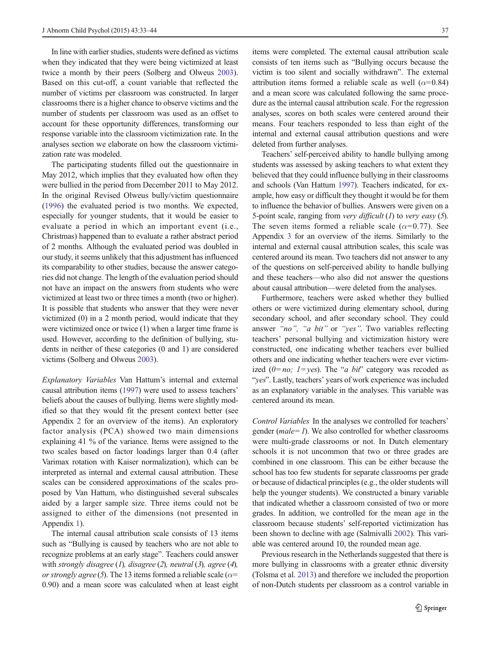In line with earlier studies, students were defined as victims when they indicated that they were being victimized at least twice a month by their peers (Solberg and Olweus [2003](#page-11-0)). Based on this cut-off, a count variable that reflected the number of victims per classroom was constructed. In larger classrooms there is a higher chance to observe victims and the number of students per classroom was used as an offset to account for these opportunity differences, transforming our response variable into the classroom victimization rate. In the analyses section we elaborate on how the classroom victimization rate was modeled.

The participating students filled out the questionnaire in May 2012, which implies that they evaluated how often they were bullied in the period from December 2011 to May 2012. In the original Revised Olweus bully/victim questionnaire [\(1996](#page-11-0)) the evaluated period is two months. We expected, especially for younger students, that it would be easier to evaluate a period in which an important event (i.e., Christmas) happened than to evaluate a rather abstract period of 2 months. Although the evaluated period was doubled in our study, it seems unlikely that this adjustment has influenced its comparability to other studies, because the answer categories did not change. The length of the evaluation period should not have an impact on the answers from students who were victimized at least two or three times a month (two or higher). It is possible that students who answer that they were never victimized (0) in a 2 month period, would indicate that they were victimized once or twice (1) when a larger time frame is used. However, according to the definition of bullying, students in neither of these categories (0 and 1) are considered victims (Solberg and Olweus [2003](#page-11-0)).

Explanatory Variables Van Hattum's internal and external causal attribution items [\(1997](#page-11-0)) were used to assess teachers' beliefs about the causes of bullying. Items were slightly modified so that they would fit the present context better (see Appendix [2](#page-10-0) for an overview of the items). An exploratory factor analysis (PCA) showed two main dimensions explaining 41 % of the variance. Items were assigned to the two scales based on factor loadings larger than 0.4 (after Varimax rotation with Kaiser normalization), which can be interpreted as internal and external causal attribution. These scales can be considered approximations of the scales proposed by Van Hattum, who distinguished several subscales aided by a larger sample size. Three items could not be assigned to either of the dimensions (not presented in Appendix [1](#page-9-0)).

The internal causal attribution scale consists of 13 items such as "Bullying is caused by teachers who are not able to recognize problems at an early stage". Teachers could answer with strongly disagree  $(1)$ , disagree  $(2)$ , neutral  $(3)$ , agree  $(4)$ , or strongly agree (5). The 13 items formed a reliable scale ( $\alpha$ = 0.90) and a mean score was calculated when at least eight

items were completed. The external causal attribution scale consists of ten items such as "Bullying occurs because the victim is too silent and socially withdrawn". The external attribution items formed a reliable scale as well ( $\alpha$ =0.84) and a mean score was calculated following the same procedure as the internal causal attribution scale. For the regression analyses, scores on both scales were centered around their means. Four teachers responded to less than eight of the internal and external causal attribution questions and were deleted from further analyses.

Teachers' self-perceived ability to handle bullying among students was assessed by asking teachers to what extent they believed that they could influence bullying in their classrooms and schools (Van Hattum [1997\)](#page-11-0). Teachers indicated, for example, how easy or difficult they thought it would be for them to influence the behavior of bullies. Answers were given on a 5-point scale, ranging from very difficult  $(1)$  to very easy  $(5)$ . The seven items formed a reliable scale ( $\alpha$ =0.77). See Appendix [3](#page-10-0) for an overview of the items. Similarly to the internal and external causal attribution scales, this scale was centered around its mean. Two teachers did not answer to any of the questions on self-perceived ability to handle bullying and these teachers—who also did not answer the questions about causal attribution—were deleted from the analyses.

Furthermore, teachers were asked whether they bullied others or were victimized during elementary school, during secondary school, and after secondary school. They could answer "no", "a bit" or "yes". Two variables reflecting teachers' personal bullying and victimization history were constructed, one indicating whether teachers ever bullied others and one indicating whether teachers were ever victimized ( $0=no$ ;  $1=yes$ ). The "*a bit*" category was recoded as "yes". Lastly, teachers' years of work experience was included as an explanatory variable in the analyses. This variable was centered around its mean.

Control Variables In the analyses we controlled for teachers' gender ( $male = 1$ ). We also controlled for whether classrooms were multi-grade classrooms or not. In Dutch elementary schools it is not uncommon that two or three grades are combined in one classroom. This can be either because the school has too few students for separate classrooms per grade or because of didactical principles (e.g., the older students will help the younger students). We constructed a binary variable that indicated whether a classroom consisted of two or more grades. In addition, we controlled for the mean age in the classroom because students' self-reported victimization has been shown to decline with age (Salmivalli [2002\)](#page-11-0). This variable was centered around 10, the rounded mean age.

Previous research in the Netherlands suggested that there is more bullying in classrooms with a greater ethnic diversity (Tolsma et al. [2013\)](#page-11-0) and therefore we included the proportion of non-Dutch students per classroom as a control variable in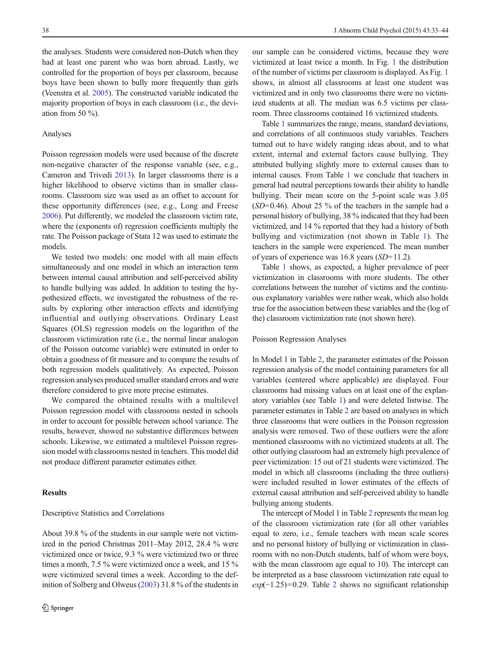the analyses. Students were considered non-Dutch when they had at least one parent who was born abroad. Lastly, we controlled for the proportion of boys per classroom, because boys have been shown to bully more frequently than girls (Veenstra et al. [2005\)](#page-11-0). The constructed variable indicated the majority proportion of boys in each classroom (i.e., the deviation from 50  $\%$ ).

# Analyses

Poisson regression models were used because of the discrete non-negative character of the response variable (see, e.g., Cameron and Trivedi [2013](#page-10-0)). In larger classrooms there is a higher likelihood to observe victims than in smaller classrooms. Classroom size was used as an offset to account for these opportunity differences (see, e.g., Long and Freese [2006\)](#page-11-0). Put differently, we modeled the classroom victim rate, where the (exponents of) regression coefficients multiply the rate. The Poisson package of Stata 12 was used to estimate the models.

We tested two models: one model with all main effects simultaneously and one model in which an interaction term between internal causal attribution and self-perceived ability to handle bullying was added. In addition to testing the hypothesized effects, we investigated the robustness of the results by exploring other interaction effects and identifying influential and outlying observations. Ordinary Least Squares (OLS) regression models on the logarithm of the classroom victimization rate (i.e., the normal linear analogon of the Poisson outcome variable) were estimated in order to obtain a goodness of fit measure and to compare the results of both regression models qualitatively. As expected, Poisson regression analyses produced smaller standard errors and were therefore considered to give more precise estimates.

We compared the obtained results with a multilevel Poisson regression model with classrooms nested in schools in order to account for possible between school variance. The results, however, showed no substantive differences between schools. Likewise, we estimated a multilevel Poisson regression model with classrooms nested in teachers. This model did not produce different parameter estimates either.

# **Results**

#### Descriptive Statistics and Correlations

About 39.8 % of the students in our sample were not victimized in the period Christmas 2011–May 2012, 28.4 % were victimized once or twice, 9.3 % were victimized two or three times a month, 7.5 % were victimized once a week, and 15 % were victimized several times a week. According to the definition of Solberg and Olweus ([2003](#page-11-0)) 31.8 % of the students in our sample can be considered victims, because they were victimized at least twice a month. In Fig. [1](#page-6-0) the distribution of the number of victims per classroom is displayed. As Fig. [1](#page-6-0) shows, in almost all classrooms at least one student was victimized and in only two classrooms there were no victimized students at all. The median was 6.5 victims per classroom. Three classrooms contained 16 victimized students.

Table [1](#page-6-0) summarizes the range, means, standard deviations, and correlations of all continuous study variables. Teachers turned out to have widely ranging ideas about, and to what extent, internal and external factors cause bullying. They attributed bullying slightly more to external causes than to internal causes. From Table [1](#page-6-0) we conclude that teachers in general had neutral perceptions towards their ability to handle bullying. Their mean score on the 5-point scale was 3.05  $(SD=0.46)$ . About 25 % of the teachers in the sample had a personal history of bullying, 38 % indicated that they had been victimized, and 14 % reported that they had a history of both bullying and victimization (not shown in Table [1](#page-6-0)). The teachers in the sample were experienced. The mean number of years of experience was 16.8 years (SD=11.2).

Table [1](#page-6-0) shows, as expected, a higher prevalence of peer victimization in classrooms with more students. The other correlations between the number of victims and the continuous explanatory variables were rather weak, which also holds true for the association between these variables and the (log of the) classroom victimization rate (not shown here).

#### Poisson Regression Analyses

In Model 1 in Table [2,](#page-7-0) the parameter estimates of the Poisson regression analysis of the model containing parameters for all variables (centered where applicable) are displayed. Four classrooms had missing values on at least one of the explanatory variables (see Table [1](#page-6-0)) and were deleted listwise. The parameter estimates in Table [2](#page-7-0) are based on analyses in which three classrooms that were outliers in the Poisson regression analysis were removed. Two of these outliers were the afore mentioned classrooms with no victimized students at all. The other outlying classroom had an extremely high prevalence of peer victimization: 15 out of 21 students were victimized. The model in which all classrooms (including the three outliers) were included resulted in lower estimates of the effects of external causal attribution and self-perceived ability to handle bullying among students.

The intercept of Model 1 in Table [2](#page-7-0) represents the mean log of the classroom victimization rate (for all other variables equal to zero, i.e., female teachers with mean scale scores and no personal history of bullying or victimization in classrooms with no non-Dutch students, half of whom were boys, with the mean classroom age equal to 10). The intercept can be interpreted as a base classroom victimization rate equal to  $exp(-1.25)=0.29$  $exp(-1.25)=0.29$  $exp(-1.25)=0.29$ . Table 2 shows no significant relationship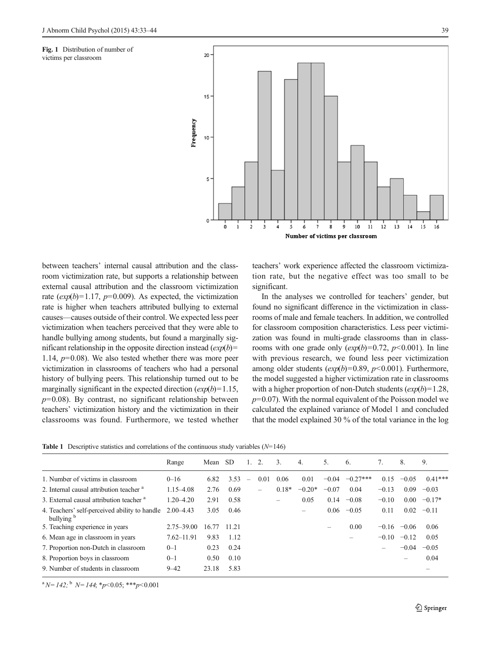<span id="page-6-0"></span>Fig. 1 Distribution of number of victims per classroom



between teachers' internal causal attribution and the classroom victimization rate, but supports a relationship between external causal attribution and the classroom victimization rate  $(exp(b)=1.17, p=0.009)$ . As expected, the victimization rate is higher when teachers attributed bullying to external causes—causes outside of their control. We expected less peer victimization when teachers perceived that they were able to handle bullying among students, but found a marginally significant relationship in the opposite direction instead  $(exp(b)$ = 1.14,  $p=0.08$ ). We also tested whether there was more peer victimization in classrooms of teachers who had a personal history of bullying peers. This relationship turned out to be marginally significant in the expected direction  $(exp(b)=1.15,$  $p=0.08$ ). By contrast, no significant relationship between teachers' victimization history and the victimization in their classrooms was found. Furthermore, we tested whether teachers' work experience affected the classroom victimization rate, but the negative effect was too small to be significant.

In the analyses we controlled for teachers' gender, but found no significant difference in the victimization in classrooms of male and female teachers. In addition, we controlled for classroom composition characteristics. Less peer victimization was found in multi-grade classrooms than in classrooms with one grade only  $(exp(b)=0.72, p<0.001)$ . In line with previous research, we found less peer victimization among older students  $(exp(b)=0.89, p<0.001)$ . Furthermore, the model suggested a higher victimization rate in classrooms with a higher proportion of non-Dutch students  $(exp(b)=1.28,$  $p=0.07$ ). With the normal equivalent of the Poisson model we calculated the explained variance of Model 1 and concluded that the model explained 30 % of the total variance in the log

|  | <b>Table 1</b> Descriptive statistics and correlations of the continuous study variables $(N=146)$ |  |  |  |  |
|--|----------------------------------------------------------------------------------------------------|--|--|--|--|
|--|----------------------------------------------------------------------------------------------------|--|--|--|--|

|                                                                        | Range          | Mean  | -SD   | 1.                       | 2.   | 3.      | 4.       | 5.      | 6.         | 7.      | 8.      | 9.        |
|------------------------------------------------------------------------|----------------|-------|-------|--------------------------|------|---------|----------|---------|------------|---------|---------|-----------|
| 1. Number of victims in classroom                                      | $0 - 16$       | 6.82  | 3.53  | $\overline{\phantom{m}}$ | 0.01 | 0.06    | 0.01     | $-0.04$ | $-0.27***$ | 0.15    | $-0.05$ | $0.41***$ |
| 2. Internal causal attribution teacher <sup>a</sup>                    | $1.15 - 4.08$  | 2.76  | 0.69  |                          | -    | $0.18*$ | $-0.20*$ | $-0.07$ | 0.04       | $-0.13$ | 0.09    | $-0.03$   |
| 3. External causal attribution teacher <sup>a</sup>                    | $1.20 - 4.20$  | 2.91  | 0.58  |                          |      | -       | 0.05     | 0.14    | $-0.08$    | $-0.10$ | 0.00    | $-0.17*$  |
| 4. Teachers' self-perceived ability to handle<br>bullying <sup>b</sup> | $2.00 - 4.43$  | 3.05  | 0.46  |                          |      |         | -        | 0.06    | $-0.05$    | 0.11    | 0.02    | $-0.11$   |
| 5. Teaching experience in years                                        | $2.75 - 39.00$ | 16.77 | 11.21 |                          |      |         |          |         | 0.00       | $-0.16$ | $-0.06$ | 0.06      |
| 6. Mean age in classroom in years                                      | $7.62 - 11.91$ | 9.83  | 1.12  |                          |      |         |          |         |            | $-0.10$ | $-0.12$ | 0.05      |
| 7. Proportion non-Dutch in classroom                                   | $0 - 1$        | 0.23  | 0.24  |                          |      |         |          |         |            |         | $-0.04$ | $-0.05$   |
| 8. Proportion boys in classroom                                        | $0 - 1$        | 0.50  | 0.10  |                          |      |         |          |         |            |         |         | 0.04      |
| 9. Number of students in classroom                                     | $9 - 42$       | 23.18 | 5.83  |                          |      |         |          |         |            |         |         |           |

 ${}^{a}N=142$ ;  ${}^{b}N=144$ ;  ${}^{*}p<0.05$ ;  ${}^{***}p<0.001$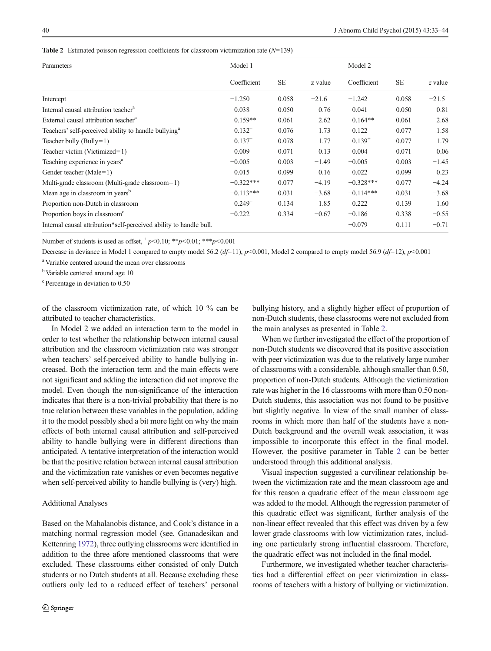| Parameters                                                         | Model 1     |           |         | Model 2     |           |         |  |
|--------------------------------------------------------------------|-------------|-----------|---------|-------------|-----------|---------|--|
|                                                                    | Coefficient | <b>SE</b> | z value | Coefficient | <b>SE</b> | z value |  |
| Intercept                                                          | $-1.250$    | 0.058     | $-21.6$ | $-1.242$    | 0.058     | $-21.5$ |  |
| Internal causal attribution teacher <sup>a</sup>                   | 0.038       | 0.050     | 0.76    | 0.041       | 0.050     | 0.81    |  |
| External causal attribution teacher <sup>a</sup>                   | $0.159**$   | 0.061     | 2.62    | $0.164**$   | 0.061     | 2.68    |  |
| Teachers' self-perceived ability to handle bullying <sup>a</sup>   | $0.132^{+}$ | 0.076     | 1.73    | 0.122       | 0.077     | 1.58    |  |
| Teacher bully $(Bully=1)$                                          | $0.137^{+}$ | 0.078     | 1.77    | $0.139^{+}$ | 0.077     | 1.79    |  |
| Teacher victim (Victimized=1)                                      | 0.009       | 0.071     | 0.13    | 0.004       | 0.071     | 0.06    |  |
| Teaching experience in years <sup>a</sup>                          | $-0.005$    | 0.003     | $-1.49$ | $-0.005$    | 0.003     | $-1.45$ |  |
| Gender teacher (Male=1)                                            | 0.015       | 0.099     | 0.16    | 0.022       | 0.099     | 0.23    |  |
| Multi-grade classroom (Multi-grade classroom=1)                    | $-0.322***$ | 0.077     | $-4.19$ | $-0.328***$ | 0.077     | $-4.24$ |  |
| Mean age in classroom in years <sup>b</sup>                        | $-0.113***$ | 0.031     | $-3.68$ | $-0.114***$ | 0.031     | $-3.68$ |  |
| Proportion non-Dutch in classroom                                  | $0.249^{+}$ | 0.134     | 1.85    | 0.222       | 0.139     | 1.60    |  |
| Proportion boys in classroom <sup>c</sup>                          | $-0.222$    | 0.334     | $-0.67$ | $-0.186$    | 0.338     | $-0.55$ |  |
| Internal causal attribution*self-perceived ability to handle bull. |             |           |         | $-0.079$    | 0.111     | $-0.71$ |  |

<span id="page-7-0"></span>**Table 2** Estimated poisson regression coefficients for classroom victimization rate  $(N=139)$ 

Number of students is used as offset,  $p<0.10$ ; \*\*p $<0.01$ ; \*\*\*p $<0.001$ 

Decrease in deviance in Model 1 compared to empty model 56.2  $(d=11)$ ,  $p<0.001$ , Model 2 compared to empty model 56.9  $(d=12)$ ,  $p<0.001$ 

a Variable centered around the mean over classrooms

<sup>b</sup> Variable centered around age 10

c Percentage in deviation to 0.50

of the classroom victimization rate, of which 10 % can be attributed to teacher characteristics.

In Model 2 we added an interaction term to the model in order to test whether the relationship between internal causal attribution and the classroom victimization rate was stronger when teachers' self-perceived ability to handle bullying increased. Both the interaction term and the main effects were not significant and adding the interaction did not improve the model. Even though the non-significance of the interaction indicates that there is a non-trivial probability that there is no true relation between these variables in the population, adding it to the model possibly shed a bit more light on why the main effects of both internal causal attribution and self-perceived ability to handle bullying were in different directions than anticipated. A tentative interpretation of the interaction would be that the positive relation between internal causal attribution and the victimization rate vanishes or even becomes negative when self-perceived ability to handle bullying is (very) high.

## Additional Analyses

Based on the Mahalanobis distance, and Cook's distance in a matching normal regression model (see, Gnanadesikan and Kettenring [1972\)](#page-10-0), three outlying classrooms were identified in addition to the three afore mentioned classrooms that were excluded. These classrooms either consisted of only Dutch students or no Dutch students at all. Because excluding these outliers only led to a reduced effect of teachers' personal bullying history, and a slightly higher effect of proportion of non-Dutch students, these classrooms were not excluded from the main analyses as presented in Table 2.

When we further investigated the effect of the proportion of non-Dutch students we discovered that its positive association with peer victimization was due to the relatively large number of classrooms with a considerable, although smaller than 0.50, proportion of non-Dutch students. Although the victimization rate was higher in the 16 classrooms with more than 0.50 non-Dutch students, this association was not found to be positive but slightly negative. In view of the small number of classrooms in which more than half of the students have a non-Dutch background and the overall weak association, it was impossible to incorporate this effect in the final model. However, the positive parameter in Table 2 can be better understood through this additional analysis.

Visual inspection suggested a curvilinear relationship between the victimization rate and the mean classroom age and for this reason a quadratic effect of the mean classroom age was added to the model. Although the regression parameter of this quadratic effect was significant, further analysis of the non-linear effect revealed that this effect was driven by a few lower grade classrooms with low victimization rates, including one particularly strong influential classroom. Therefore, the quadratic effect was not included in the final model.

Furthermore, we investigated whether teacher characteristics had a differential effect on peer victimization in classrooms of teachers with a history of bullying or victimization.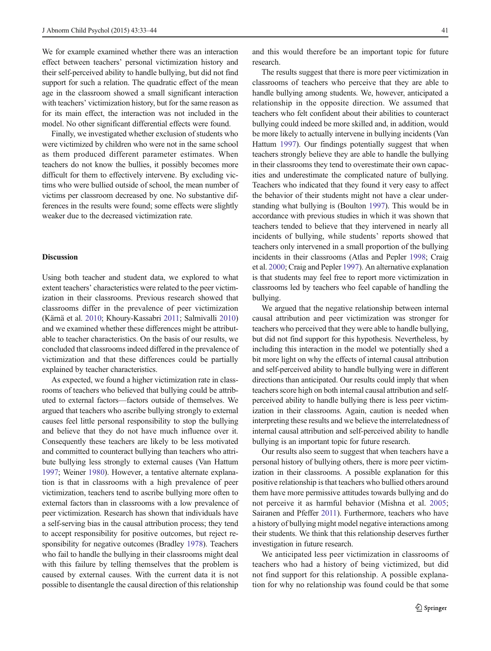We for example examined whether there was an interaction effect between teachers' personal victimization history and their self-perceived ability to handle bullying, but did not find support for such a relation. The quadratic effect of the mean age in the classroom showed a small significant interaction with teachers' victimization history, but for the same reason as for its main effect, the interaction was not included in the model. No other significant differential effects were found.

Finally, we investigated whether exclusion of students who were victimized by children who were not in the same school as them produced different parameter estimates. When teachers do not know the bullies, it possibly becomes more difficult for them to effectively intervene. By excluding victims who were bullied outside of school, the mean number of victims per classroom decreased by one. No substantive differences in the results were found; some effects were slightly weaker due to the decreased victimization rate.

# Discussion

Using both teacher and student data, we explored to what extent teachers' characteristics were related to the peer victimization in their classrooms. Previous research showed that classrooms differ in the prevalence of peer victimization (Kärnä et al. [2010](#page-11-0); Khoury-Kassabri [2011;](#page-11-0) Salmivalli [2010\)](#page-11-0) and we examined whether these differences might be attributable to teacher characteristics. On the basis of our results, we concluded that classrooms indeed differed in the prevalence of victimization and that these differences could be partially explained by teacher characteristics.

As expected, we found a higher victimization rate in classrooms of teachers who believed that bullying could be attributed to external factors—factors outside of themselves. We argued that teachers who ascribe bullying strongly to external causes feel little personal responsibility to stop the bullying and believe that they do not have much influence over it. Consequently these teachers are likely to be less motivated and committed to counteract bullying than teachers who attribute bullying less strongly to external causes (Van Hattum [1997;](#page-11-0) Weiner [1980\)](#page-11-0). However, a tentative alternate explanation is that in classrooms with a high prevalence of peer victimization, teachers tend to ascribe bullying more often to external factors than in classrooms with a low prevalence of peer victimization. Research has shown that individuals have a self-serving bias in the causal attribution process; they tend to accept responsibility for positive outcomes, but reject responsibility for negative outcomes (Bradley [1978](#page-10-0)). Teachers who fail to handle the bullying in their classrooms might deal with this failure by telling themselves that the problem is caused by external causes. With the current data it is not possible to disentangle the causal direction of this relationship

and this would therefore be an important topic for future research.

The results suggest that there is more peer victimization in classrooms of teachers who perceive that they are able to handle bullying among students. We, however, anticipated a relationship in the opposite direction. We assumed that teachers who felt confident about their abilities to counteract bullying could indeed be more skilled and, in addition, would be more likely to actually intervene in bullying incidents (Van Hattum [1997](#page-11-0)). Our findings potentially suggest that when teachers strongly believe they are able to handle the bullying in their classrooms they tend to overestimate their own capacities and underestimate the complicated nature of bullying. Teachers who indicated that they found it very easy to affect the behavior of their students might not have a clear understanding what bullying is (Boulton [1997](#page-10-0)). This would be in accordance with previous studies in which it was shown that teachers tended to believe that they intervened in nearly all incidents of bullying, while students' reports showed that teachers only intervened in a small proportion of the bullying incidents in their classrooms (Atlas and Pepler [1998](#page-10-0); Craig et al. [2000;](#page-10-0) Craig and Pepler [1997\)](#page-10-0). An alternative explanation is that students may feel free to report more victimization in classrooms led by teachers who feel capable of handling the bullying.

We argued that the negative relationship between internal causal attribution and peer victimization was stronger for teachers who perceived that they were able to handle bullying, but did not find support for this hypothesis. Nevertheless, by including this interaction in the model we potentially shed a bit more light on why the effects of internal causal attribution and self-perceived ability to handle bullying were in different directions than anticipated. Our results could imply that when teachers score high on both internal causal attribution and selfperceived ability to handle bullying there is less peer victimization in their classrooms. Again, caution is needed when interpreting these results and we believe the interrelatedness of internal causal attribution and self-perceived ability to handle bullying is an important topic for future research.

Our results also seem to suggest that when teachers have a personal history of bullying others, there is more peer victimization in their classrooms. A possible explanation for this positive relationship is that teachers who bullied others around them have more permissive attitudes towards bullying and do not perceive it as harmful behavior (Mishna et al. [2005;](#page-11-0) Sairanen and Pfeffer [2011\)](#page-11-0). Furthermore, teachers who have a history of bullying might model negative interactions among their students. We think that this relationship deserves further investigation in future research.

We anticipated less peer victimization in classrooms of teachers who had a history of being victimized, but did not find support for this relationship. A possible explanation for why no relationship was found could be that some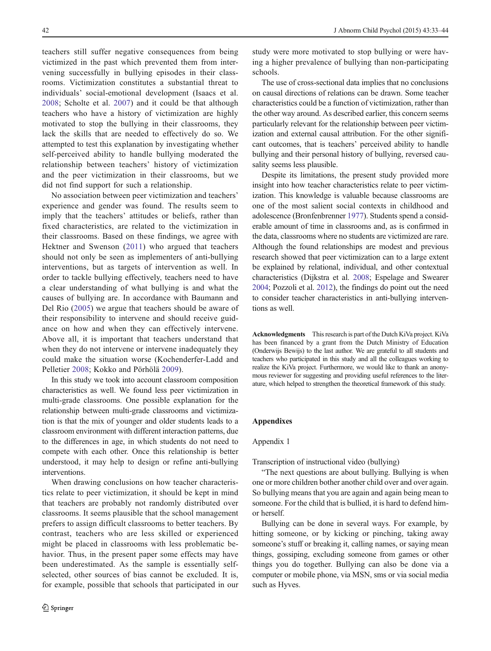<span id="page-9-0"></span>teachers still suffer negative consequences from being victimized in the past which prevented them from intervening successfully in bullying episodes in their classrooms. Victimization constitutes a substantial threat to individuals' social-emotional development (Isaacs et al. [2008](#page-11-0); Scholte et al. [2007](#page-11-0)) and it could be that although teachers who have a history of victimization are highly motivated to stop the bullying in their classrooms, they lack the skills that are needed to effectively do so. We attempted to test this explanation by investigating whether self-perceived ability to handle bullying moderated the relationship between teachers' history of victimization and the peer victimization in their classrooms, but we did not find support for such a relationship.

No association between peer victimization and teachers' experience and gender was found. The results seem to imply that the teachers' attitudes or beliefs, rather than fixed characteristics, are related to the victimization in their classrooms. Based on these findings, we agree with Hektner and Swenson ([2011](#page-11-0)) who argued that teachers should not only be seen as implementers of anti-bullying interventions, but as targets of intervention as well. In order to tackle bullying effectively, teachers need to have a clear understanding of what bullying is and what the causes of bullying are. In accordance with Baumann and Del Rio ([2005](#page-10-0)) we argue that teachers should be aware of their responsibility to intervene and should receive guidance on how and when they can effectively intervene. Above all, it is important that teachers understand that when they do not intervene or intervene inadequately they could make the situation worse (Kochenderfer-Ladd and Pelletier [2008;](#page-11-0) Kokko and Pörhölä [2009\)](#page-11-0).

In this study we took into account classroom composition characteristics as well. We found less peer victimization in multi-grade classrooms. One possible explanation for the relationship between multi-grade classrooms and victimization is that the mix of younger and older students leads to a classroom environment with different interaction patterns, due to the differences in age, in which students do not need to compete with each other. Once this relationship is better understood, it may help to design or refine anti-bullying interventions.

When drawing conclusions on how teacher characteristics relate to peer victimization, it should be kept in mind that teachers are probably not randomly distributed over classrooms. It seems plausible that the school management prefers to assign difficult classrooms to better teachers. By contrast, teachers who are less skilled or experienced might be placed in classrooms with less problematic behavior. Thus, in the present paper some effects may have been underestimated. As the sample is essentially selfselected, other sources of bias cannot be excluded. It is, for example, possible that schools that participated in our

study were more motivated to stop bullying or were having a higher prevalence of bullying than non-participating schools.

The use of cross-sectional data implies that no conclusions on causal directions of relations can be drawn. Some teacher characteristics could be a function of victimization, rather than the other way around. As described earlier, this concern seems particularly relevant for the relationship between peer victimization and external causal attribution. For the other significant outcomes, that is teachers' perceived ability to handle bullying and their personal history of bullying, reversed causality seems less plausible.

Despite its limitations, the present study provided more insight into how teacher characteristics relate to peer victimization. This knowledge is valuable because classrooms are one of the most salient social contexts in childhood and adolescence (Bronfenbrenner [1977](#page-10-0)). Students spend a considerable amount of time in classrooms and, as is confirmed in the data, classrooms where no students are victimized are rare. Although the found relationships are modest and previous research showed that peer victimization can to a large extent be explained by relational, individual, and other contextual characteristics (Dijkstra et al. [2008](#page-10-0); Espelage and Swearer [2004;](#page-10-0) Pozzoli et al. [2012\)](#page-11-0), the findings do point out the need to consider teacher characteristics in anti-bullying interventions as well.

Acknowledgments This research is part of the Dutch KiVa project. KiVa has been financed by a grant from the Dutch Ministry of Education (Onderwijs Bewijs) to the last author. We are grateful to all students and teachers who participated in this study and all the colleagues working to realize the KiVa project. Furthermore, we would like to thank an anonymous reviewer for suggesting and providing useful references to the literature, which helped to strengthen the theoretical framework of this study.

#### Appendixes

#### Appendix 1

Transcription of instructional video (bullying)

"The next questions are about bullying. Bullying is when one or more children bother another child over and over again. So bullying means that you are again and again being mean to someone. For the child that is bullied, it is hard to defend himor herself.

Bullying can be done in several ways. For example, by hitting someone, or by kicking or pinching, taking away someone's stuff or breaking it, calling names, or saying mean things, gossiping, excluding someone from games or other things you do together. Bullying can also be done via a computer or mobile phone, via MSN, sms or via social media such as Hyves.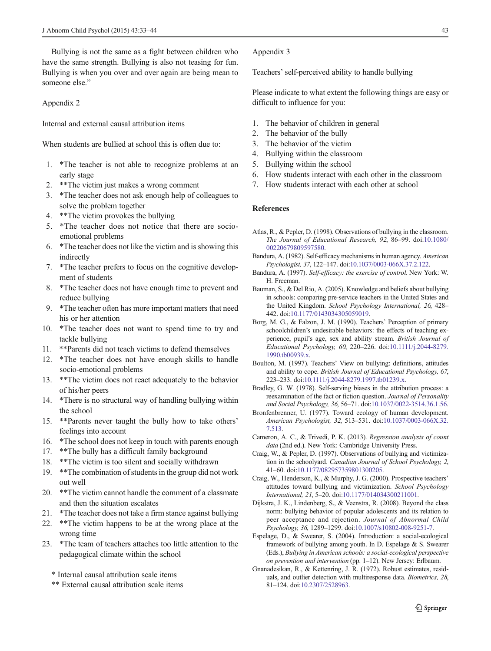<span id="page-10-0"></span>Bullying is not the same as a fight between children who have the same strength. Bullying is also not teasing for fun. Bullying is when you over and over again are being mean to someone else."

Appendix 2

Internal and external causal attribution items

When students are bullied at school this is often due to:

- 1. \*The teacher is not able to recognize problems at an early stage
- 2. \*\*The victim just makes a wrong comment
- 3. \*The teacher does not ask enough help of colleagues to solve the problem together
- 4. \*\*The victim provokes the bullying
- 5. \*The teacher does not notice that there are socioemotional problems
- 6. \*The teacher does not like the victim and is showing this indirectly
- 7. \*The teacher prefers to focus on the cognitive development of students
- 8. \*The teacher does not have enough time to prevent and reduce bullying
- 9. \*The teacher often has more important matters that need his or her attention
- 10. \*The teacher does not want to spend time to try and tackle bullying
- 11. \*\*Parents did not teach victims to defend themselves
- 12. \*The teacher does not have enough skills to handle socio-emotional problems
- 13. \*\*The victim does not react adequately to the behavior of his/her peers
- 14. \*There is no structural way of handling bullying within the school
- 15. \*\*Parents never taught the bully how to take others' feelings into account
- 16. \*The school does not keep in touch with parents enough
- 17. \*\*The bully has a difficult family background
- 18. \*\*The victim is too silent and socially withdrawn
- 19. \*\*The combination of students in the group did not work out well
- 20. \*\*The victim cannot handle the comment of a classmate and then the situation escalates
- 21. \*The teacher does not take a firm stance against bullying
- 22. \*\*The victim happens to be at the wrong place at the wrong time
- 23. \*The team of teachers attaches too little attention to the pedagogical climate within the school

\* Internal causal attribution scale items

\*\* External causal attribution scale items

Appendix 3

Teachers' self-perceived ability to handle bullying

Please indicate to what extent the following things are easy or difficult to influence for you:

- 1. The behavior of children in general
- 2. The behavior of the bully
- 3. The behavior of the victim
- 4. Bullying within the classroom
- 5. Bullying within the school
- 6. How students interact with each other in the classroom
- 7. How students interact with each other at school

#### References

- Atlas, R., & Pepler, D. (1998). Observations of bullying in the classroom. The Journal of Educational Research, 92, 86–99. doi[:10.1080/](http://dx.doi.org/10.1080/00220679809597580) [00220679809597580](http://dx.doi.org/10.1080/00220679809597580).
- Bandura, A. (1982). Self-efficacy mechanisms in human agency. American Psychologist, 37, 122–147. doi:[10.1037/0003-066X.37.2.122](http://dx.doi.org/10.1037/0003-066X.37.2.122).
- Bandura, A. (1997). Self-efficacy: the exercise of control. New York: W. H. Freeman.
- Bauman, S., & Del Rio, A. (2005). Knowledge and beliefs about bullying in schools: comparing pre-service teachers in the United States and the United Kingdom. School Psychology International, 26, 428– 442. doi[:10.1177/0143034305059019](http://dx.doi.org/10.1177/0143034305059019).
- Borg, M. G., & Falzon, J. M. (1990). Teachers' Perception of primary schoolchildren's undesirable behaviors: the effects of teaching experience, pupil's age, sex and ability stream. British Journal of Educational Psychology, 60, 220–226. doi:[10.1111/j.2044-8279.](http://dx.doi.org/10.1111/j.2044-8279.1990.tb00939.x) [1990.tb00939.x.](http://dx.doi.org/10.1111/j.2044-8279.1990.tb00939.x)
- Boulton, M. (1997). Teachers' View on bullying: definitions, attitudes and ability to cope. British Journal of Educational Psychology, 67, 223–233. doi[:10.1111/j.2044-8279.1997.tb01239.x.](http://dx.doi.org/10.1111/j.2044-8279.1997.tb01239.x)
- Bradley, G. W. (1978). Self-serving biases in the attribution process: a reexamination of the fact or fiction question. Journal of Personality and Social Psychology, 36, 56–71. doi:[10.1037/0022-3514.36.1.56](http://dx.doi.org/10.1037/0022-3514.36.1.56).
- Bronfenbrenner, U. (1977). Toward ecology of human development. American Psychologist, 32, 513–531. doi[:10.1037/0003-066X.32.](http://dx.doi.org/10.1037/0003-066X.32.7.513) [7.513.](http://dx.doi.org/10.1037/0003-066X.32.7.513)
- Cameron, A. C., & Trivedi, P. K. (2013). Regression analysis of count data (2nd ed.). New York: Cambridge University Press.
- Craig, W., & Pepler, D. (1997). Observations of bullying and victimization in the schoolyard. Canadian Journal of School Psychology, 2, 41–60. doi:[10.1177/082957359801300205.](http://dx.doi.org/10.1177/082957359801300205)
- Craig, W., Henderson, K., & Murphy, J. G. (2000). Prospective teachers' attitudes toward bullying and victimization. School Psychology International, 21, 5–20. doi[:10.1177/014034300211001](http://dx.doi.org/10.1177/014034300211001).
- Dijkstra, J. K., Lindenberg, S., & Veenstra, R. (2008). Beyond the class norm: bullying behavior of popular adolescents and its relation to peer acceptance and rejection. Journal of Abnormal Child Psychology, 36, 1289–1299. doi[:10.1007/s10802-008-9251-7.](http://dx.doi.org/10.1007/s10802-008-9251-7)
- Espelage, D., & Swearer, S. (2004). Introduction: a social-ecological framework of bullying among youth. In D. Espelage & S. Swearer (Eds.), Bullying in American schools: a social-ecological perspective on prevention and intervention (pp. 1–12). New Jersey: Erlbaum.
- Gnanadesikan, R., & Kettenring, J. R. (1972). Robust estimates, residuals, and outlier detection with multiresponse data. Biometrics, 28, 81–124. doi[:10.2307/2528963.](http://dx.doi.org/10.2307/2528963)